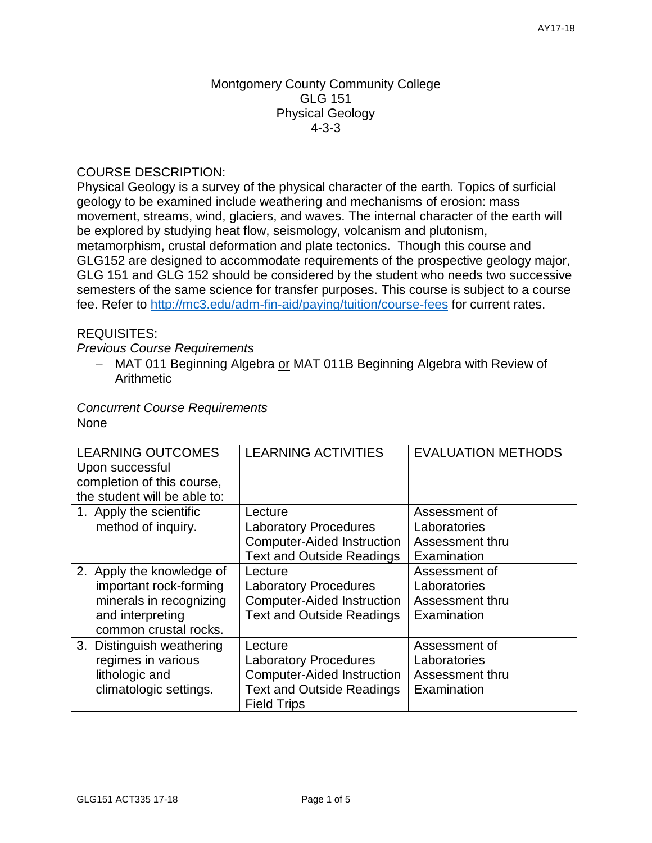### Montgomery County Community College GLG 151 Physical Geology 4-3-3

# COURSE DESCRIPTION:

Physical Geology is a survey of the physical character of the earth. Topics of surficial geology to be examined include weathering and mechanisms of erosion: mass movement, streams, wind, glaciers, and waves. The internal character of the earth will be explored by studying heat flow, seismology, volcanism and plutonism, metamorphism, crustal deformation and plate tectonics. Though this course and GLG152 are designed to accommodate requirements of the prospective geology major, GLG 151 and GLG 152 should be considered by the student who needs two successive semesters of the same science for transfer purposes. This course is subject to a course fee. Refer to <http://mc3.edu/adm-fin-aid/paying/tuition/course-fees> for current rates.

# REQUISITES:

*Previous Course Requirements*

 MAT 011 Beginning Algebra or MAT 011B Beginning Algebra with Review of **Arithmetic** 

### *Concurrent Course Requirements*  None

| <b>LEARNING OUTCOMES</b>     | <b>LEARNING ACTIVITIES</b>        | <b>EVALUATION METHODS</b> |  |
|------------------------------|-----------------------------------|---------------------------|--|
| Upon successful              |                                   |                           |  |
| completion of this course,   |                                   |                           |  |
| the student will be able to: |                                   |                           |  |
| 1. Apply the scientific      | Lecture                           | Assessment of             |  |
| method of inquiry.           | <b>Laboratory Procedures</b>      | Laboratories              |  |
|                              | <b>Computer-Aided Instruction</b> | Assessment thru           |  |
|                              | <b>Text and Outside Readings</b>  | Examination               |  |
| 2. Apply the knowledge of    | Lecture                           | Assessment of             |  |
| important rock-forming       | <b>Laboratory Procedures</b>      | Laboratories              |  |
| minerals in recognizing      | <b>Computer-Aided Instruction</b> | Assessment thru           |  |
| and interpreting             | <b>Text and Outside Readings</b>  | Examination               |  |
| common crustal rocks.        |                                   |                           |  |
| 3. Distinguish weathering    | Lecture                           | Assessment of             |  |
| regimes in various           | <b>Laboratory Procedures</b>      | Laboratories              |  |
| lithologic and               | <b>Computer-Aided Instruction</b> | Assessment thru           |  |
| climatologic settings.       | <b>Text and Outside Readings</b>  | Examination               |  |
|                              | <b>Field Trips</b>                |                           |  |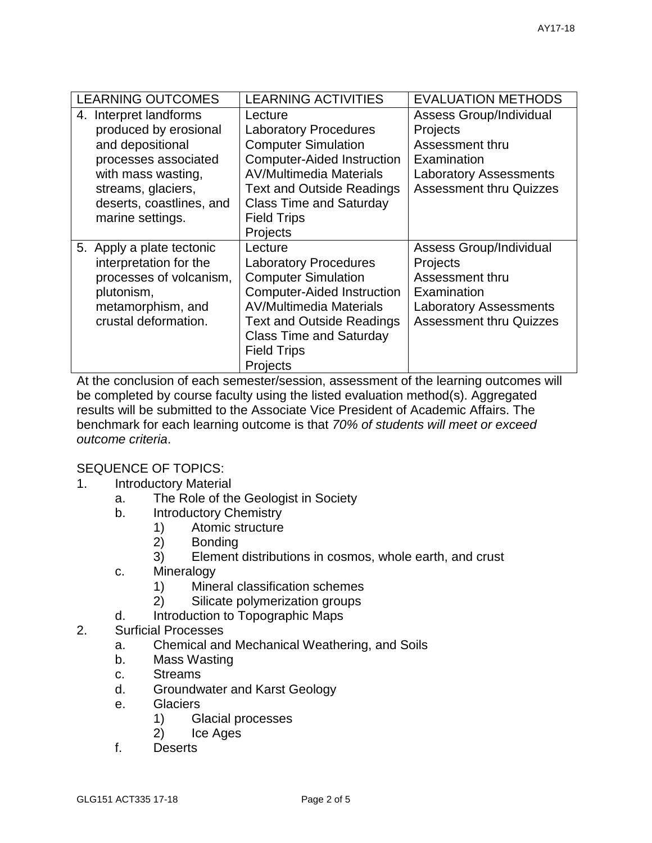| <b>LEARNING OUTCOMES</b>                                                                                                                                                                | <b>LEARNING ACTIVITIES</b>                                                                                                                                                                                                                           | <b>EVALUATION METHODS</b>                                                                                                                       |
|-----------------------------------------------------------------------------------------------------------------------------------------------------------------------------------------|------------------------------------------------------------------------------------------------------------------------------------------------------------------------------------------------------------------------------------------------------|-------------------------------------------------------------------------------------------------------------------------------------------------|
| 4. Interpret landforms<br>produced by erosional<br>and depositional<br>processes associated<br>with mass wasting,<br>streams, glaciers,<br>deserts, coastlines, and<br>marine settings. | Lecture<br><b>Laboratory Procedures</b><br><b>Computer Simulation</b><br><b>Computer-Aided Instruction</b><br><b>AV/Multimedia Materials</b><br><b>Text and Outside Readings</b><br><b>Class Time and Saturday</b><br><b>Field Trips</b><br>Projects | <b>Assess Group/Individual</b><br>Projects<br>Assessment thru<br>Examination<br><b>Laboratory Assessments</b><br><b>Assessment thru Quizzes</b> |
| 5. Apply a plate tectonic<br>interpretation for the<br>processes of volcanism,<br>plutonism,<br>metamorphism, and<br>crustal deformation.                                               | Lecture<br><b>Laboratory Procedures</b><br><b>Computer Simulation</b><br><b>Computer-Aided Instruction</b><br><b>AV/Multimedia Materials</b><br><b>Text and Outside Readings</b><br><b>Class Time and Saturday</b><br><b>Field Trips</b><br>Projects | <b>Assess Group/Individual</b><br>Projects<br>Assessment thru<br>Examination<br><b>Laboratory Assessments</b><br><b>Assessment thru Quizzes</b> |

At the conclusion of each semester/session, assessment of the learning outcomes will be completed by course faculty using the listed evaluation method(s). Aggregated results will be submitted to the Associate Vice President of Academic Affairs. The benchmark for each learning outcome is that *70% of students will meet or exceed outcome criteria*.

#### SEQUENCE OF TOPICS:

- 1. Introductory Material
	- a. The Role of the Geologist in Society
	- b. Introductory Chemistry
		- 1) Atomic structure
		- 2) Bonding
		- 3) Element distributions in cosmos, whole earth, and crust
	- c. Mineralogy
		- 1) Mineral classification schemes
		- 2) Silicate polymerization groups
	- d. Introduction to Topographic Maps
- 2. Surficial Processes
	- a. Chemical and Mechanical Weathering, and Soils
	- b. Mass Wasting
	- c. Streams
	- d. Groundwater and Karst Geology
	- e. Glaciers
		- 1) Glacial processes
		- 2) Ice Ages
	- f. Deserts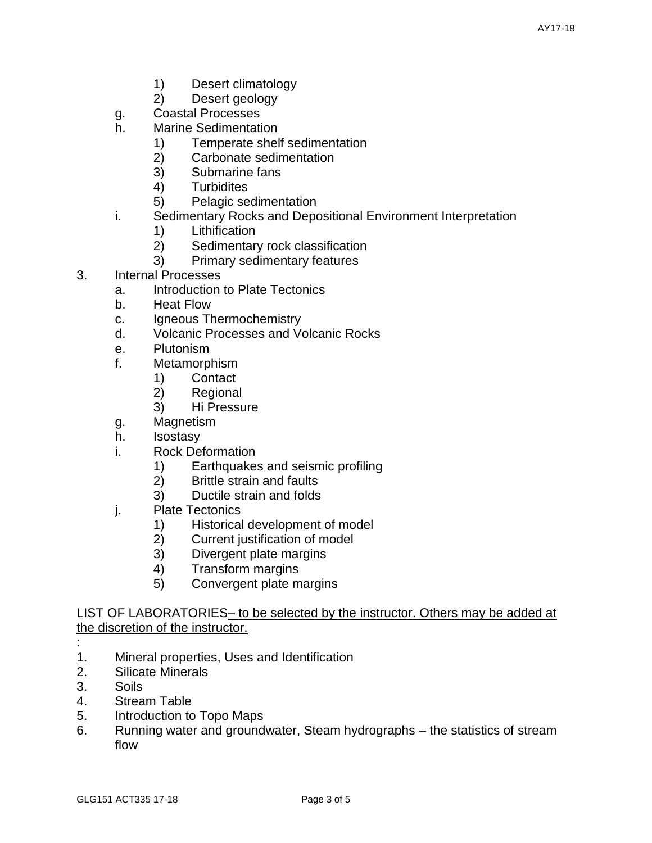- 1) Desert climatology
- 2) Desert geology
- g. Coastal Processes
- h. Marine Sedimentation
	- 1) Temperate shelf sedimentation
	- 2) Carbonate sedimentation
	- 3) Submarine fans
	- 4) Turbidites
	- 5) Pelagic sedimentation
- i. Sedimentary Rocks and Depositional Environment Interpretation
	- 1) Lithification
	- 2) Sedimentary rock classification
	- 3) Primary sedimentary features
- 3. Internal Processes
	- a. Introduction to Plate Tectonics
	- b. Heat Flow
	- c. Igneous Thermochemistry
	- d. Volcanic Processes and Volcanic Rocks
	- e. Plutonism
	- f. Metamorphism
		- 1) Contact
		- 2) Regional
		- 3) Hi Pressure
	- g. Magnetism
	- h. Isostasy
	- i. Rock Deformation
		- 1) Earthquakes and seismic profiling
		- 2) Brittle strain and faults
		- 3) Ductile strain and folds
	- j. Plate Tectonics
		- 1) Historical development of model
		- 2) Current justification of model
		- 3) Divergent plate margins
		- 4) Transform margins
		- 5) Convergent plate margins

LIST OF LABORATORIES– to be selected by the instructor. Others may be added at the discretion of the instructor.

- 1. Mineral properties, Uses and Identification
- 2. Silicate Minerals
- 3. Soils

:

- 4. Stream Table
- 5. Introduction to Topo Maps
- 6. Running water and groundwater, Steam hydrographs the statistics of stream flow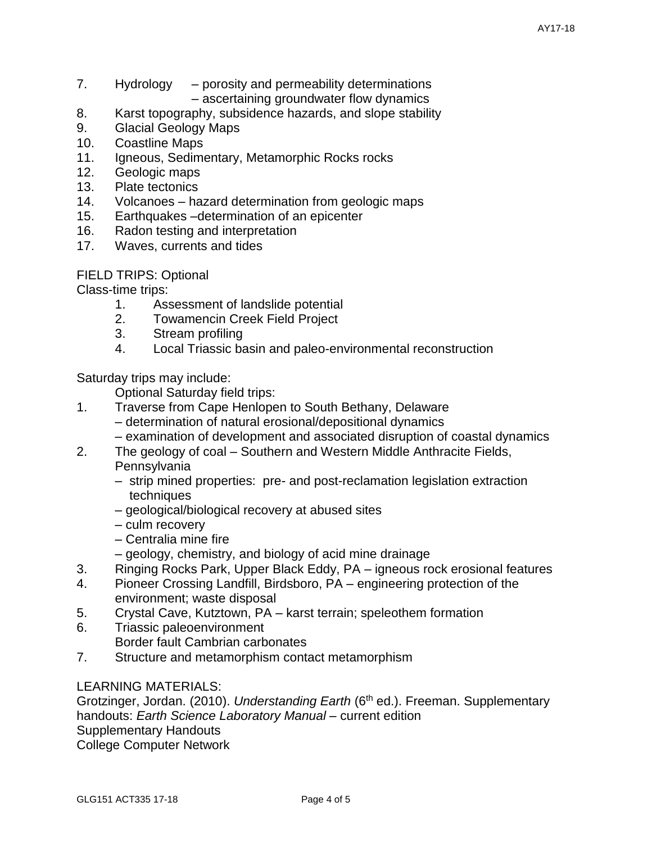- 7. Hydrology porosity and permeability determinations – ascertaining groundwater flow dynamics
- 8. Karst topography, subsidence hazards, and slope stability
- 9. Glacial Geology Maps
- 10. Coastline Maps
- 11. Igneous, Sedimentary, Metamorphic Rocks rocks
- 12. Geologic maps
- 13. Plate tectonics
- 14. Volcanoes hazard determination from geologic maps
- 15. Earthquakes –determination of an epicenter
- 16. Radon testing and interpretation
- 17. Waves, currents and tides

FIELD TRIPS: Optional

Class-time trips:

- 1. Assessment of landslide potential
- 2. Towamencin Creek Field Project
- 3. Stream profiling
- 4. Local Triassic basin and paleo-environmental reconstruction

Saturday trips may include:

Optional Saturday field trips:

- 1. Traverse from Cape Henlopen to South Bethany, Delaware
	- determination of natural erosional/depositional dynamics
	- examination of development and associated disruption of coastal dynamics
- 2. The geology of coal Southern and Western Middle Anthracite Fields, **Pennsylvania** 
	- strip mined properties: pre- and post-reclamation legislation extraction techniques
	- geological/biological recovery at abused sites
	- culm recovery
	- Centralia mine fire
	- geology, chemistry, and biology of acid mine drainage
- 3. Ringing Rocks Park, Upper Black Eddy, PA igneous rock erosional features
- 4. Pioneer Crossing Landfill, Birdsboro, PA engineering protection of the environment; waste disposal
- 5. Crystal Cave, Kutztown, PA karst terrain; speleothem formation
- 6. Triassic paleoenvironment Border fault Cambrian carbonates
- 7. Structure and metamorphism contact metamorphism

# LEARNING MATERIALS:

Grotzinger, Jordan. (2010). *Understanding Earth* (6<sup>th</sup> ed.). Freeman. Supplementary handouts: *Earth Science Laboratory Manual* – current edition Supplementary Handouts College Computer Network